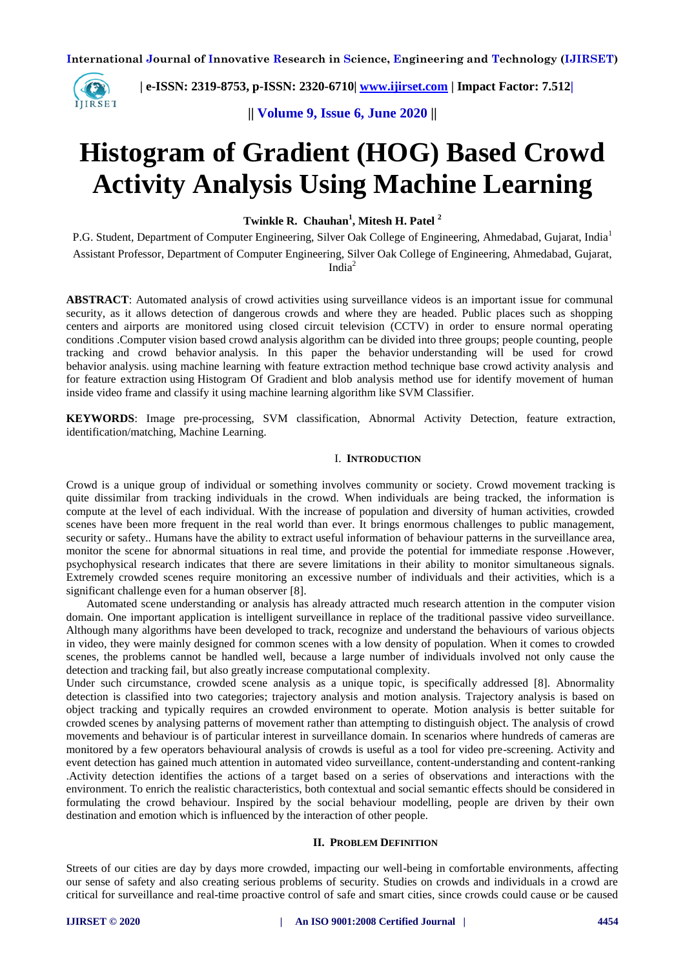

 **| e-ISSN: 2319-8753, p-ISSN: 2320-6710| [www.ijirset.com](http://www.ijirset.com/) | Impact Factor: 7.512|**

**|| Volume 9, Issue 6, June 2020 ||** 

# **Histogram of Gradient (HOG) Based Crowd Activity Analysis Using Machine Learning**

**Twinkle R. Chauhan<sup>1</sup> , Mitesh H. Patel <sup>2</sup>**

P.G. Student, Department of Computer Engineering, Silver Oak College of Engineering, Ahmedabad, Gujarat, India<sup>1</sup> Assistant Professor, Department of Computer Engineering, Silver Oak College of Engineering, Ahmedabad, Gujarat, India $2$ 

**ABSTRACT**: Automated analysis of crowd activities using surveillance videos is an important issue for communal security, as it allows detection of dangerous crowds and where they are headed. Public places such as shopping centers and airports are monitored using closed circuit television (CCTV) in order to ensure normal operating conditions .Computer vision based crowd analysis algorithm can be divided into three groups; people counting, people tracking and crowd behavior analysis. In this paper the behavior understanding will be used for crowd behavior analysis. using machine learning with feature extraction method technique base crowd activity analysis and for feature extraction using Histogram Of Gradient and blob analysis method use for identify movement of human inside video frame and classify it using machine learning algorithm like SVM Classifier.

**KEYWORDS**: Image pre-processing, SVM classification, Abnormal Activity Detection, feature extraction, identification/matching, Machine Learning.

### I. **INTRODUCTION**

Crowd is a unique group of individual or something involves community or society. Crowd movement tracking is quite dissimilar from tracking individuals in the crowd. When individuals are being tracked, the information is compute at the level of each individual. With the increase of population and diversity of human activities, crowded scenes have been more frequent in the real world than ever. It brings enormous challenges to public management, security or safety.. Humans have the ability to extract useful information of behaviour patterns in the surveillance area, monitor the scene for abnormal situations in real time, and provide the potential for immediate response .However, psychophysical research indicates that there are severe limitations in their ability to monitor simultaneous signals. Extremely crowded scenes require monitoring an excessive number of individuals and their activities, which is a significant challenge even for a human observer [8].

 Automated scene understanding or analysis has already attracted much research attention in the computer vision domain. One important application is intelligent surveillance in replace of the traditional passive video surveillance. Although many algorithms have been developed to track, recognize and understand the behaviours of various objects in video, they were mainly designed for common scenes with a low density of population. When it comes to crowded scenes, the problems cannot be handled well, because a large number of individuals involved not only cause the detection and tracking fail, but also greatly increase computational complexity.

Under such circumstance, crowded scene analysis as a unique topic, is specifically addressed [8]. Abnormality detection is classified into two categories; trajectory analysis and motion analysis. Trajectory analysis is based on object tracking and typically requires an crowded environment to operate. Motion analysis is better suitable for crowded scenes by analysing patterns of movement rather than attempting to distinguish object. The analysis of crowd movements and behaviour is of particular interest in surveillance domain. In scenarios where hundreds of cameras are monitored by a few operators behavioural analysis of crowds is useful as a tool for video pre-screening. Activity and event detection has gained much attention in automated video surveillance, content-understanding and content-ranking .Activity detection identifies the actions of a target based on a series of observations and interactions with the environment. To enrich the realistic characteristics, both contextual and social semantic effects should be considered in formulating the crowd behaviour. Inspired by the social behaviour modelling, people are driven by their own destination and emotion which is influenced by the interaction of other people.

#### **II. PROBLEM DEFINITION**

Streets of our cities are day by days more crowded, impacting our well-being in comfortable environments, affecting our sense of safety and also creating serious problems of security. Studies on crowds and individuals in a crowd are critical for surveillance and real-time proactive control of safe and smart cities, since crowds could cause or be caused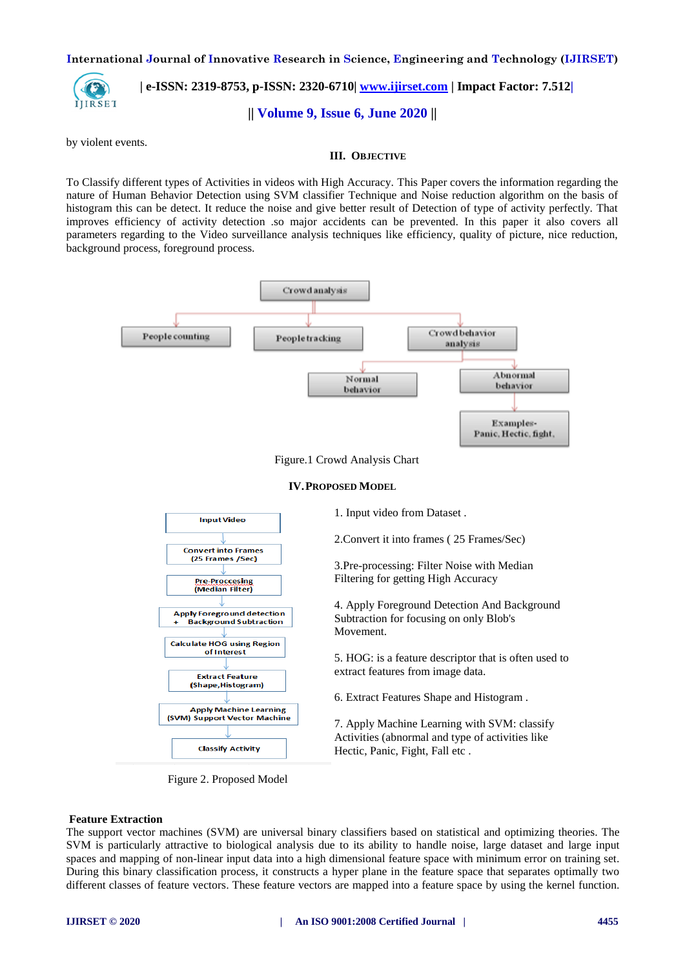**International Journal of Innovative Research in Science, Engineering and Technology (IJIRSET)**



# **| e-ISSN: 2319-8753, p-ISSN: 2320-6710| [www.ijirset.com](http://www.ijirset.com/) | Impact Factor: 7.512|**

### **|| Volume 9, Issue 6, June 2020 ||**

by violent events.

### **III. OBJECTIVE**

To Classify different types of Activities in videos with High Accuracy. This Paper covers the information regarding the nature of Human Behavior Detection using SVM classifier Technique and Noise reduction algorithm on the basis of histogram this can be detect. It reduce the noise and give better result of Detection of type of activity perfectly. That improves efficiency of activity detection .so major accidents can be prevented. In this paper it also covers all parameters regarding to the Video surveillance analysis techniques like efficiency, quality of picture, nice reduction, background process, foreground process.



4. Apply Foreground Detection And Background Subtraction for focusing on only Blob's Movement.

5. HOG: is a feature descriptor that is often used to extract features from image data.

6. Extract Features Shape and Histogram .

7. Apply Machine Learning with SVM: classify Activities (abnormal and type of activities like Hectic, Panic, Fight, Fall etc .

### **Feature Extraction**

Figure 2. Proposed Model

**Classify Activity** 

**Apply Foreground detection Background Subtraction** 

**Calculate HOG using Region** of Interest

> **Extract Feature** (Shape, Histogram)

**Apply Machine Learning** (SVM) Support Vector Machine

The support vector machines (SVM) are universal binary classifiers based on statistical and optimizing theories. The SVM is particularly attractive to biological analysis due to its ability to handle noise, large dataset and large input spaces and mapping of non-linear input data into a high dimensional feature space with minimum error on training set. During this binary classification process, it constructs a hyper plane in the feature space that separates optimally two different classes of feature vectors. These feature vectors are mapped into a feature space by using the kernel function.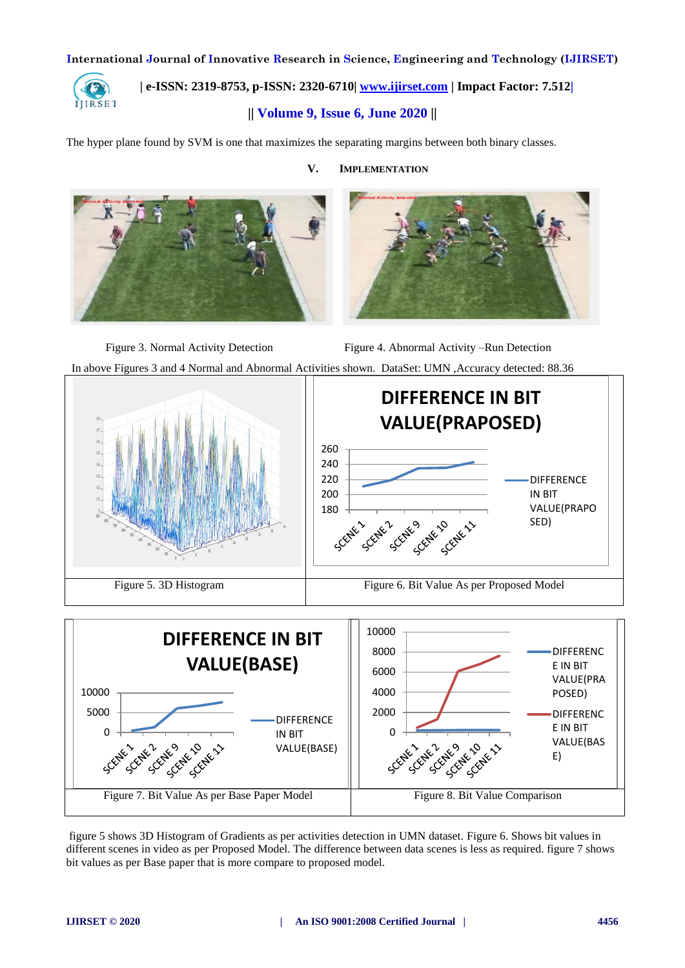**International Journal of Innovative Research in Science, Engineering and Technology (IJIRSET)**



# **| e-ISSN: 2319-8753, p-ISSN: 2320-6710| [www.ijirset.com](http://www.ijirset.com/) | Impact Factor: 7.512|**

### **|| Volume 9, Issue 6, June 2020 ||**

The hyper plane found by SVM is one that maximizes the separating margins between both binary classes.







Figure 3. Normal Activity Detection Figure 4. Abnormal Activity –Run Detection In above Figures 3 and 4 Normal and Abnormal Activities shown. DataSet: UMN ,Accuracy detected: 88.36



figure 5 shows 3D Histogram of Gradients as per activities detection in UMN dataset. Figure 6. Shows bit values in different scenes in video as per Proposed Model. The difference between data scenes is less as required. figure 7 shows bit values as per Base paper that is more compare to proposed model.